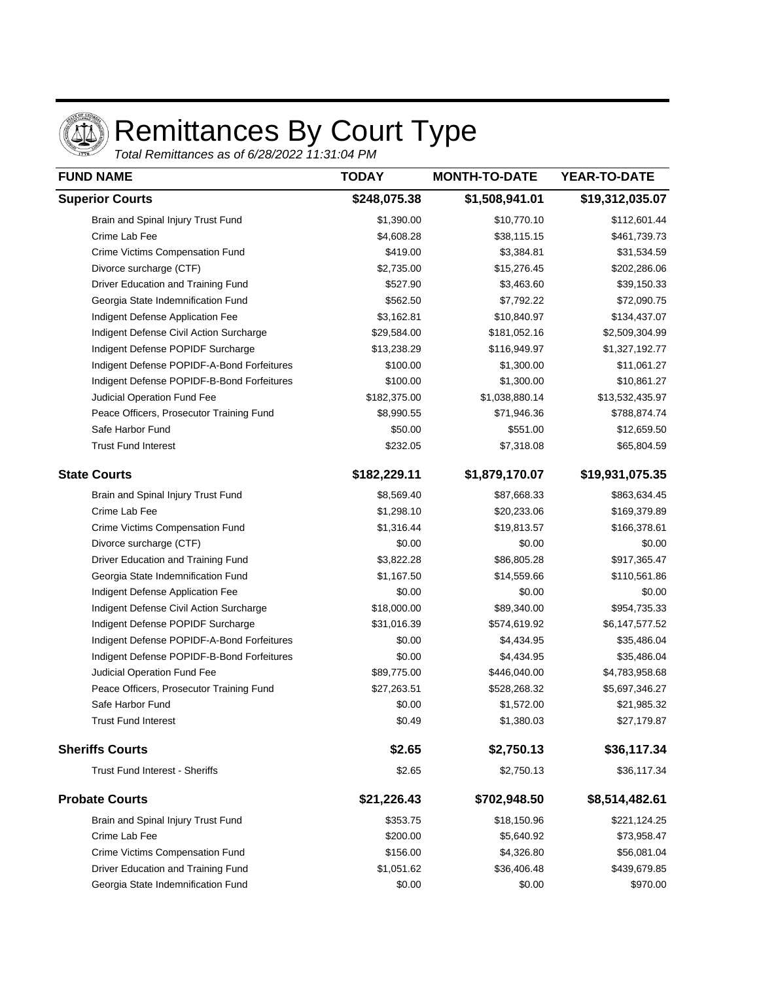

## Remittances By Court Type

Total Remittances as of 6/28/2022 11:31:04 PM

| <b>FUND NAME</b>                           | <b>TODAY</b><br>\$248,075.38 | <b>MONTH-TO-DATE</b><br>\$1,508,941.01 | YEAR-TO-DATE<br>\$19,312,035.07 |
|--------------------------------------------|------------------------------|----------------------------------------|---------------------------------|
| <b>Superior Courts</b>                     |                              |                                        |                                 |
| Brain and Spinal Injury Trust Fund         | \$1,390.00                   | \$10,770.10                            | \$112,601.44                    |
| Crime Lab Fee                              | \$4,608.28                   | \$38,115.15                            | \$461,739.73                    |
| Crime Victims Compensation Fund            | \$419.00                     | \$3,384.81                             | \$31,534.59                     |
| Divorce surcharge (CTF)                    | \$2,735.00                   | \$15,276.45                            | \$202,286.06                    |
| Driver Education and Training Fund         | \$527.90                     | \$3,463.60                             | \$39,150.33                     |
| Georgia State Indemnification Fund         | \$562.50                     | \$7,792.22                             | \$72,090.75                     |
| Indigent Defense Application Fee           | \$3,162.81                   | \$10,840.97                            | \$134,437.07                    |
| Indigent Defense Civil Action Surcharge    | \$29,584.00                  | \$181,052.16                           | \$2,509,304.99                  |
| Indigent Defense POPIDF Surcharge          | \$13,238.29                  | \$116,949.97                           | \$1,327,192.77                  |
| Indigent Defense POPIDF-A-Bond Forfeitures | \$100.00                     | \$1,300.00                             | \$11,061.27                     |
| Indigent Defense POPIDF-B-Bond Forfeitures | \$100.00                     | \$1,300.00                             | \$10,861.27                     |
| Judicial Operation Fund Fee                | \$182,375.00                 | \$1,038,880.14                         | \$13,532,435.97                 |
| Peace Officers, Prosecutor Training Fund   | \$8,990.55                   | \$71,946.36                            | \$788,874.74                    |
| Safe Harbor Fund                           | \$50.00                      | \$551.00                               | \$12,659.50                     |
| <b>Trust Fund Interest</b>                 | \$232.05                     | \$7,318.08                             | \$65,804.59                     |
| <b>State Courts</b>                        | \$182,229.11                 | \$1,879,170.07                         | \$19,931,075.35                 |
| Brain and Spinal Injury Trust Fund         | \$8,569.40                   | \$87,668.33                            | \$863,634.45                    |
| Crime Lab Fee                              | \$1,298.10                   | \$20,233.06                            | \$169,379.89                    |
| Crime Victims Compensation Fund            | \$1,316.44                   | \$19,813.57                            | \$166,378.61                    |
| Divorce surcharge (CTF)                    | \$0.00                       | \$0.00                                 | \$0.00                          |
| Driver Education and Training Fund         | \$3,822.28                   | \$86,805.28                            | \$917,365.47                    |
| Georgia State Indemnification Fund         | \$1,167.50                   | \$14,559.66                            | \$110,561.86                    |
| Indigent Defense Application Fee           | \$0.00                       | \$0.00                                 | \$0.00                          |
| Indigent Defense Civil Action Surcharge    | \$18,000.00                  | \$89,340.00                            | \$954,735.33                    |
| Indigent Defense POPIDF Surcharge          | \$31,016.39                  | \$574,619.92                           | \$6,147,577.52                  |
| Indigent Defense POPIDF-A-Bond Forfeitures | \$0.00                       | \$4,434.95                             | \$35,486.04                     |
| Indigent Defense POPIDF-B-Bond Forfeitures | \$0.00                       | \$4,434.95                             | \$35,486.04                     |
| Judicial Operation Fund Fee                | \$89,775.00                  | \$446,040.00                           | \$4,783,958.68                  |
| Peace Officers, Prosecutor Training Fund   | \$27,263.51                  | \$528,268.32                           | \$5,697,346.27                  |
| Safe Harbor Fund                           | \$0.00                       | \$1,572.00                             | \$21,985.32                     |
| <b>Trust Fund Interest</b>                 | \$0.49                       | \$1,380.03                             | \$27,179.87                     |
| <b>Sheriffs Courts</b>                     | \$2.65                       | \$2,750.13                             | \$36,117.34                     |
| <b>Trust Fund Interest - Sheriffs</b>      | \$2.65                       | \$2,750.13                             | \$36,117.34                     |
| <b>Probate Courts</b>                      | \$21,226.43                  | \$702,948.50                           | \$8,514,482.61                  |
| Brain and Spinal Injury Trust Fund         | \$353.75                     | \$18,150.96                            | \$221,124.25                    |
| Crime Lab Fee                              | \$200.00                     | \$5,640.92                             | \$73,958.47                     |
| Crime Victims Compensation Fund            | \$156.00                     | \$4,326.80                             | \$56,081.04                     |
| Driver Education and Training Fund         | \$1,051.62                   | \$36,406.48                            | \$439,679.85                    |
| Georgia State Indemnification Fund         | \$0.00                       | \$0.00                                 | \$970.00                        |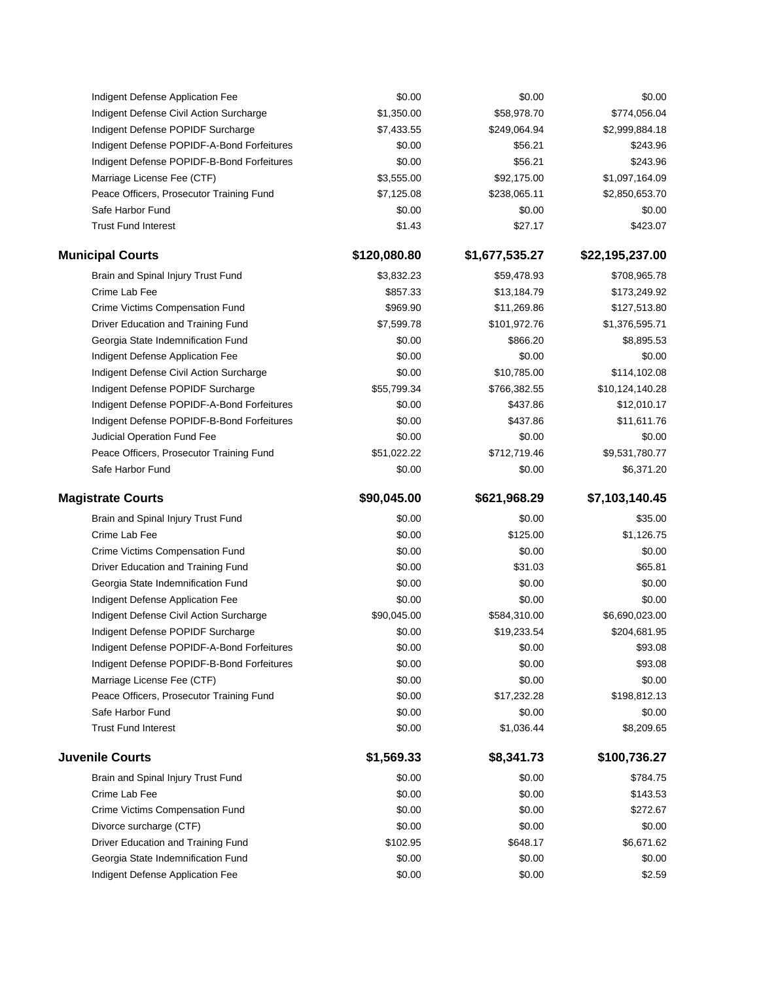|                         | Indigent Defense Application Fee           | \$0.00       | \$0.00         | \$0.00          |
|-------------------------|--------------------------------------------|--------------|----------------|-----------------|
|                         | Indigent Defense Civil Action Surcharge    | \$1,350.00   | \$58,978.70    | \$774,056.04    |
|                         | Indigent Defense POPIDF Surcharge          | \$7,433.55   | \$249,064.94   | \$2,999,884.18  |
|                         | Indigent Defense POPIDF-A-Bond Forfeitures | \$0.00       | \$56.21        | \$243.96        |
|                         | Indigent Defense POPIDF-B-Bond Forfeitures | \$0.00       | \$56.21        | \$243.96        |
|                         | Marriage License Fee (CTF)                 | \$3,555.00   | \$92,175.00    | \$1,097,164.09  |
|                         | Peace Officers, Prosecutor Training Fund   | \$7,125.08   | \$238,065.11   | \$2,850,653.70  |
|                         | Safe Harbor Fund                           | \$0.00       | \$0.00         | \$0.00          |
|                         | <b>Trust Fund Interest</b>                 | \$1.43       | \$27.17        | \$423.07        |
| <b>Municipal Courts</b> |                                            | \$120,080.80 | \$1,677,535.27 | \$22,195,237.00 |
|                         | Brain and Spinal Injury Trust Fund         | \$3,832.23   | \$59,478.93    | \$708,965.78    |
|                         | Crime Lab Fee                              | \$857.33     | \$13,184.79    | \$173,249.92    |
|                         | Crime Victims Compensation Fund            | \$969.90     | \$11,269.86    | \$127,513.80    |
|                         | Driver Education and Training Fund         | \$7,599.78   | \$101,972.76   | \$1,376,595.71  |
|                         | Georgia State Indemnification Fund         | \$0.00       | \$866.20       | \$8,895.53      |
|                         | Indigent Defense Application Fee           | \$0.00       | \$0.00         | \$0.00          |
|                         | Indigent Defense Civil Action Surcharge    | \$0.00       | \$10,785.00    | \$114,102.08    |
|                         | Indigent Defense POPIDF Surcharge          | \$55,799.34  | \$766,382.55   | \$10,124,140.28 |
|                         | Indigent Defense POPIDF-A-Bond Forfeitures | \$0.00       | \$437.86       | \$12,010.17     |
|                         | Indigent Defense POPIDF-B-Bond Forfeitures | \$0.00       | \$437.86       | \$11,611.76     |
|                         | Judicial Operation Fund Fee                | \$0.00       | \$0.00         | \$0.00          |
|                         | Peace Officers, Prosecutor Training Fund   | \$51,022.22  | \$712,719.46   | \$9,531,780.77  |
|                         | Safe Harbor Fund                           | \$0.00       | \$0.00         | \$6,371.20      |
|                         |                                            |              |                |                 |
|                         |                                            |              |                |                 |
|                         | <b>Magistrate Courts</b>                   | \$90,045.00  | \$621,968.29   | \$7,103,140.45  |
|                         | Brain and Spinal Injury Trust Fund         | \$0.00       | \$0.00         | \$35.00         |
|                         | Crime Lab Fee                              | \$0.00       | \$125.00       | \$1,126.75      |
|                         | Crime Victims Compensation Fund            | \$0.00       | \$0.00         | \$0.00          |
|                         | Driver Education and Training Fund         | \$0.00       | \$31.03        | \$65.81         |
|                         | Georgia State Indemnification Fund         | \$0.00       | \$0.00         | \$0.00          |
|                         | Indigent Defense Application Fee           | \$0.00       | \$0.00         | \$0.00          |
|                         | Indigent Defense Civil Action Surcharge    | \$90,045.00  | \$584,310.00   | \$6,690,023.00  |
|                         | Indigent Defense POPIDF Surcharge          | \$0.00       | \$19,233.54    | \$204,681.95    |
|                         | Indigent Defense POPIDF-A-Bond Forfeitures | \$0.00       | \$0.00         | \$93.08         |
|                         | Indigent Defense POPIDF-B-Bond Forfeitures | \$0.00       | \$0.00         | \$93.08         |
|                         | Marriage License Fee (CTF)                 | \$0.00       | \$0.00         | \$0.00          |
|                         | Peace Officers, Prosecutor Training Fund   | \$0.00       | \$17,232.28    | \$198,812.13    |
|                         | Safe Harbor Fund                           | \$0.00       | \$0.00         | \$0.00          |
|                         | <b>Trust Fund Interest</b>                 | \$0.00       | \$1,036.44     | \$8,209.65      |
|                         | <b>Juvenile Courts</b>                     | \$1,569.33   | \$8,341.73     | \$100,736.27    |
|                         | Brain and Spinal Injury Trust Fund         | \$0.00       | \$0.00         | \$784.75        |
|                         | Crime Lab Fee                              | \$0.00       | \$0.00         | \$143.53        |
|                         | Crime Victims Compensation Fund            | \$0.00       | \$0.00         | \$272.67        |
|                         | Divorce surcharge (CTF)                    | \$0.00       | \$0.00         | \$0.00          |
|                         | Driver Education and Training Fund         | \$102.95     | \$648.17       | \$6,671.62      |
|                         | Georgia State Indemnification Fund         | \$0.00       | \$0.00         | \$0.00          |